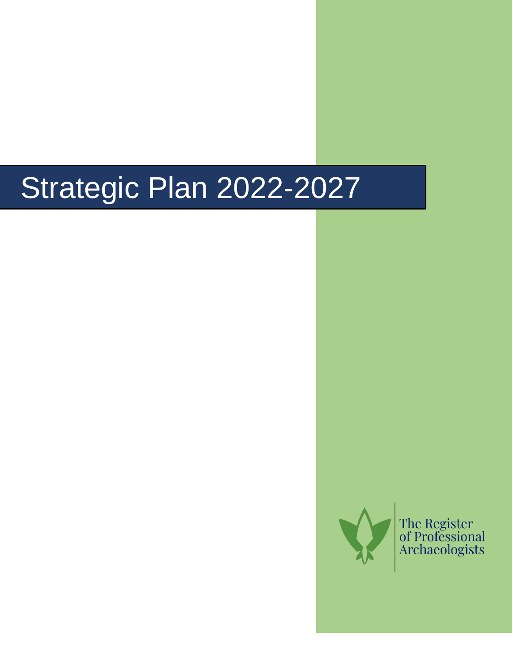# Strategic Plan 2022-2027



The Register<br>of Professional<br>Archaeologists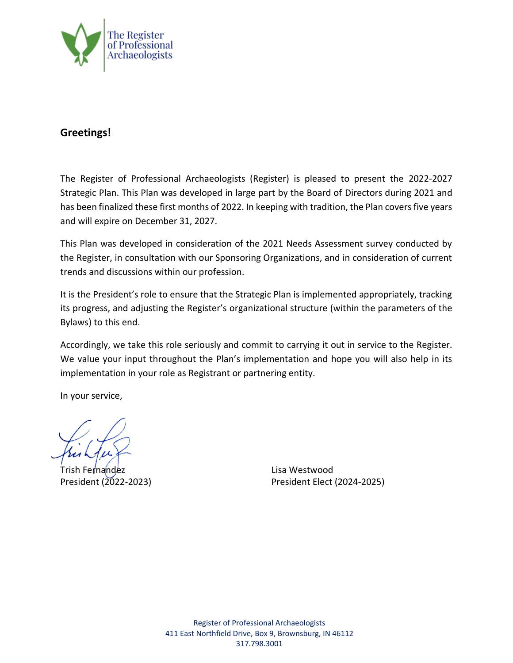

#### **Greetings!**

The Register of Professional Archaeologists (Register) is pleased to present the 2022-2027 Strategic Plan. This Plan was developed in large part by the Board of Directors during 2021 and has been finalized these first months of 2022. In keeping with tradition, the Plan covers five years and will expire on December 31, 2027.

This Plan was developed in consideration of the 2021 Needs Assessment survey conducted by the Register, in consultation with our Sponsoring Organizations, and in consideration of current trends and discussions within our profession.

It is the President's role to ensure that the Strategic Plan is implemented appropriately, tracking its progress, and adjusting the Register's organizational structure (within the parameters of the Bylaws) to this end.

Accordingly, we take this role seriously and commit to carrying it out in service to the Register. We value your input throughout the Plan's implementation and hope you will also help in its implementation in your role as Registrant or partnering entity.

In your service,

Trish Fernandez Lisa Westwood

President (2022-2023) President Elect (2024-2025)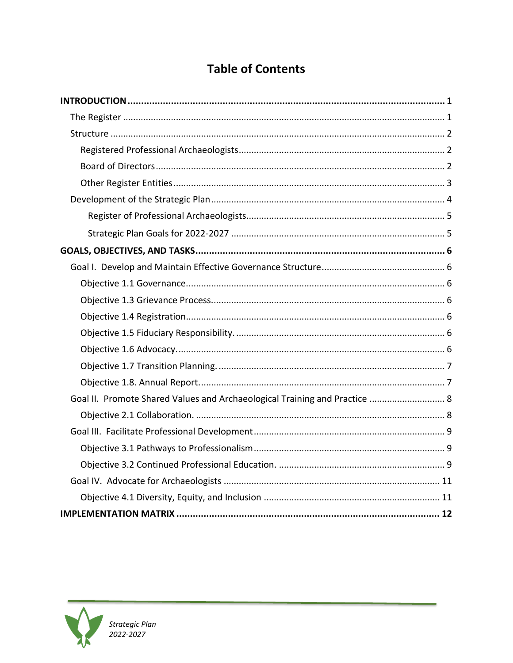### **Table of Contents**

| Goal II. Promote Shared Values and Archaeological Training and Practice  8 |  |
|----------------------------------------------------------------------------|--|
|                                                                            |  |
|                                                                            |  |
|                                                                            |  |
|                                                                            |  |
|                                                                            |  |
|                                                                            |  |
|                                                                            |  |

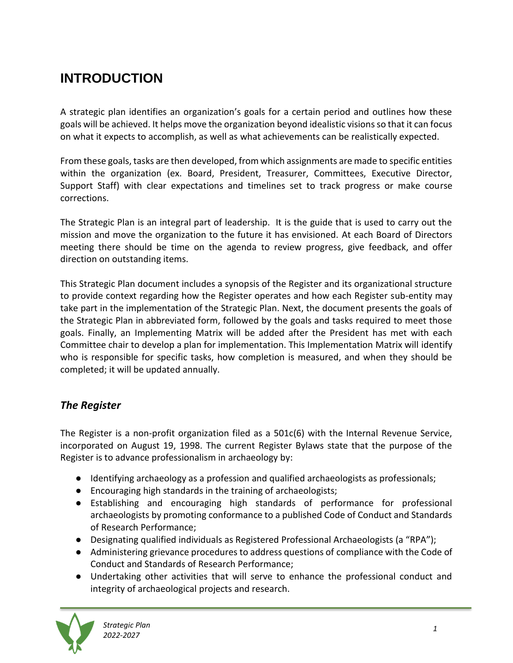## <span id="page-3-0"></span>**INTRODUCTION**

A strategic plan identifies an organization's goals for a certain period and outlines how these goals will be achieved. It helps move the organization beyond idealistic visions so that it can focus on what it expects to accomplish, as well as what achievements can be realistically expected.

From these goals, tasks are then developed, from which assignments are made to specific entities within the organization (ex. Board, President, Treasurer, Committees, Executive Director, Support Staff) with clear expectations and timelines set to track progress or make course corrections.

The Strategic Plan is an integral part of leadership. It is the guide that is used to carry out the mission and move the organization to the future it has envisioned. At each Board of Directors meeting there should be time on the agenda to review progress, give feedback, and offer direction on outstanding items.

This Strategic Plan document includes a synopsis of the Register and its organizational structure to provide context regarding how the Register operates and how each Register sub-entity may take part in the implementation of the Strategic Plan. Next, the document presents the goals of the Strategic Plan in abbreviated form, followed by the goals and tasks required to meet those goals. Finally, an Implementing Matrix will be added after the President has met with each Committee chair to develop a plan for implementation. This Implementation Matrix will identify who is responsible for specific tasks, how completion is measured, and when they should be completed; it will be updated annually.

#### <span id="page-3-1"></span>*The Register*

The Register is a non-profit organization filed as a 501c(6) with the Internal Revenue Service, incorporated on August 19, 1998. The current Register Bylaws state that the purpose of the Register is to advance professionalism in archaeology by:

- Identifying archaeology as a profession and qualified archaeologists as professionals;
- Encouraging high standards in the training of archaeologists;
- Establishing and encouraging high standards of performance for professional archaeologists by promoting conformance to a published Code of Conduct and Standards of Research Performance;
- Designating qualified individuals as Registered Professional Archaeologists (a "RPA");
- Administering grievance procedures to address questions of compliance with the Code of Conduct and Standards of Research Performance;
- Undertaking other activities that will serve to enhance the professional conduct and integrity of archaeological projects and research.

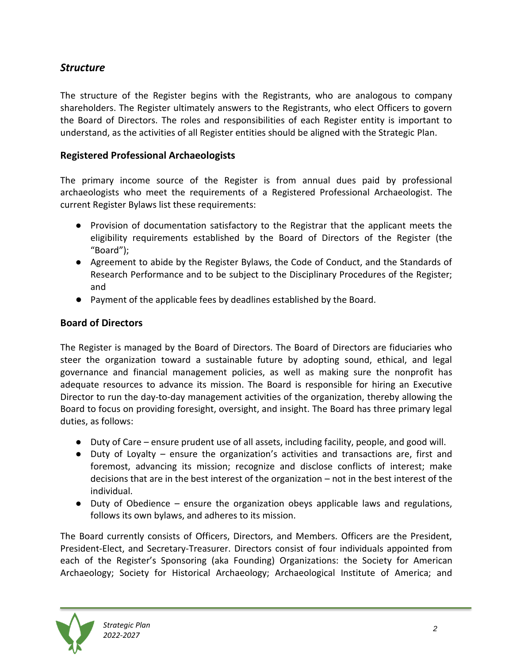#### <span id="page-4-0"></span>*Structure*

The structure of the Register begins with the Registrants, who are analogous to company shareholders. The Register ultimately answers to the Registrants, who elect Officers to govern the Board of Directors. The roles and responsibilities of each Register entity is important to understand, as the activities of all Register entities should be aligned with the Strategic Plan.

#### <span id="page-4-1"></span>**Registered Professional Archaeologists**

The primary income source of the Register is from annual dues paid by professional archaeologists who meet the requirements of a Registered Professional Archaeologist. The current Register Bylaws list these requirements:

- Provision of documentation satisfactory to the Registrar that the applicant meets the eligibility requirements established by the Board of Directors of the Register (the "Board");
- Agreement to abide by the Register Bylaws, the Code of Conduct, and the Standards of Research Performance and to be subject to the Disciplinary Procedures of the Register; and
- Payment of the applicable fees by deadlines established by the Board.

#### <span id="page-4-2"></span>**Board of Directors**

The Register is managed by the Board of Directors. The Board of Directors are fiduciaries who steer the organization toward a sustainable future by adopting sound, ethical, and legal governance and financial management policies, as well as making sure the nonprofit has adequate resources to advance its mission. The Board is responsible for hiring an Executive Director to run the day-to-day management activities of the organization, thereby allowing the Board to focus on providing foresight, oversight, and insight. The Board has three primary legal duties, as follows:

- Duty of Care ensure prudent use of all assets, including facility, people, and good will.
- Duty of Loyalty ensure the organization's activities and transactions are, first and foremost, advancing its mission; recognize and disclose conflicts of interest; make decisions that are in the best interest of the organization – not in the best interest of the individual.
- Duty of Obedience ensure the organization obeys applicable laws and regulations, follows its own bylaws, and adheres to its mission.

The Board currently consists of Officers, Directors, and Members. Officers are the President, President-Elect, and Secretary-Treasurer. Directors consist of four individuals appointed from each of the Register's Sponsoring (aka Founding) Organizations: the Society for American Archaeology; Society for Historical Archaeology; Archaeological Institute of America; and

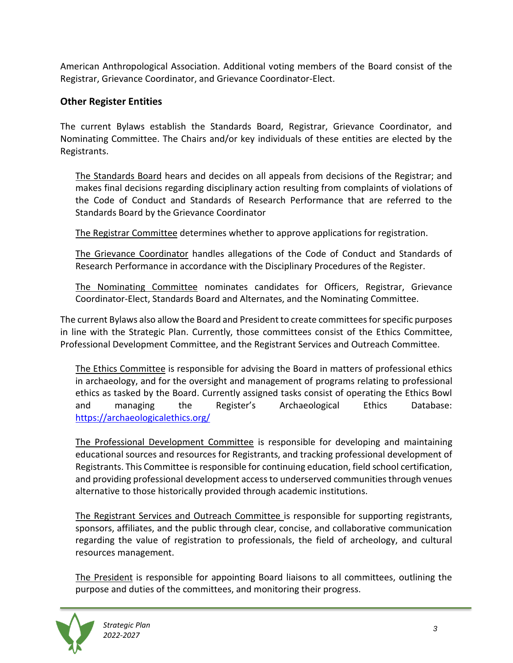American Anthropological Association. Additional voting members of the Board consist of the Registrar, Grievance Coordinator, and Grievance Coordinator-Elect.

#### <span id="page-5-0"></span>**Other Register Entities**

The current Bylaws establish the Standards Board, Registrar, Grievance Coordinator, and Nominating Committee. The Chairs and/or key individuals of these entities are elected by the Registrants.

The Standards Board hears and decides on all appeals from decisions of the Registrar; and makes final decisions regarding disciplinary action resulting from complaints of violations of the Code of Conduct and Standards of Research Performance that are referred to the Standards Board by the Grievance Coordinator

The Registrar Committee determines whether to approve applications for registration.

The Grievance Coordinator handles allegations of the Code of Conduct and Standards of Research Performance in accordance with the Disciplinary Procedures of the Register.

The Nominating Committee nominates candidates for Officers, Registrar, Grievance Coordinator-Elect, Standards Board and Alternates, and the Nominating Committee.

The current Bylaws also allow the Board and President to create committees for specific purposes in line with the Strategic Plan. Currently, those committees consist of the Ethics Committee, Professional Development Committee, and the Registrant Services and Outreach Committee.

The Ethics Committee is responsible for advising the Board in matters of professional ethics in archaeology, and for the oversight and management of programs relating to professional ethics as tasked by the Board. Currently assigned tasks consist of operating the Ethics Bowl and managing the Register's Archaeological Ethics Database: <https://archaeologicalethics.org/>

The Professional Development Committee is responsible for developing and maintaining educational sources and resources for Registrants, and tracking professional development of Registrants. This Committee is responsible for continuing education, field school certification, and providing professional development access to underserved communities through venues alternative to those historically provided through academic institutions.

The Registrant Services and Outreach Committee is responsible for supporting registrants, sponsors, affiliates, and the public through clear, concise, and collaborative communication regarding the value of registration to professionals, the field of archeology, and cultural resources management.

The President is responsible for appointing Board liaisons to all committees, outlining the purpose and duties of the committees, and monitoring their progress.

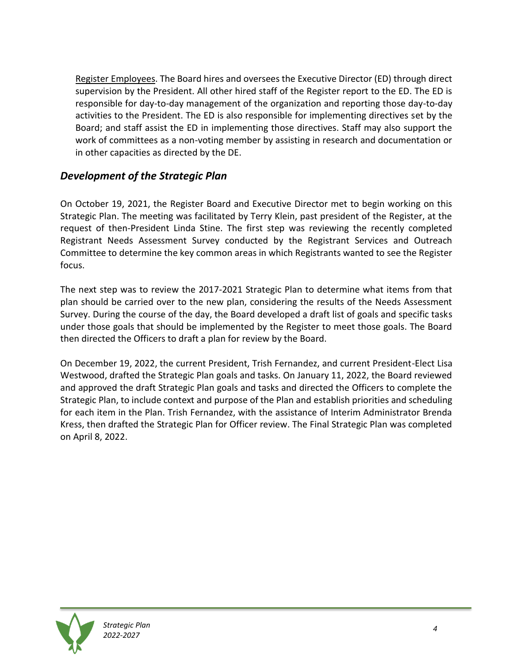Register Employees. The Board hires and oversees the Executive Director (ED) through direct supervision by the President. All other hired staff of the Register report to the ED. The ED is responsible for day-to-day management of the organization and reporting those day-to-day activities to the President. The ED is also responsible for implementing directives set by the Board; and staff assist the ED in implementing those directives. Staff may also support the work of committees as a non-voting member by assisting in research and documentation or in other capacities as directed by the DE.

#### <span id="page-6-0"></span>*Development of the Strategic Plan*

On October 19, 2021, the Register Board and Executive Director met to begin working on this Strategic Plan. The meeting was facilitated by Terry Klein, past president of the Register, at the request of then-President Linda Stine. The first step was reviewing the recently completed Registrant Needs Assessment Survey conducted by the Registrant Services and Outreach Committee to determine the key common areas in which Registrants wanted to see the Register focus.

The next step was to review the 2017-2021 Strategic Plan to determine what items from that plan should be carried over to the new plan, considering the results of the Needs Assessment Survey. During the course of the day, the Board developed a draft list of goals and specific tasks under those goals that should be implemented by the Register to meet those goals. The Board then directed the Officers to draft a plan for review by the Board.

On December 19, 2022, the current President, Trish Fernandez, and current President-Elect Lisa Westwood, drafted the Strategic Plan goals and tasks. On January 11, 2022, the Board reviewed and approved the draft Strategic Plan goals and tasks and directed the Officers to complete the Strategic Plan, to include context and purpose of the Plan and establish priorities and scheduling for each item in the Plan. Trish Fernandez, with the assistance of Interim Administrator Brenda Kress, then drafted the Strategic Plan for Officer review. The Final Strategic Plan was completed on April 8, 2022.

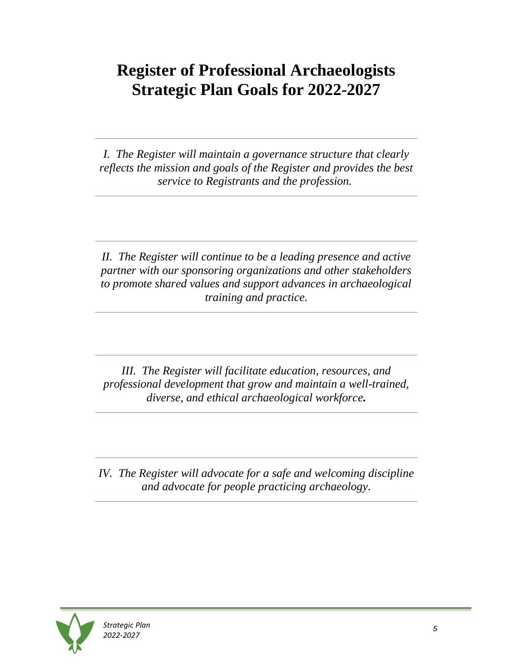## <span id="page-7-1"></span><span id="page-7-0"></span>**Register of Professional Archaeologists Strategic Plan Goals for 2022-2027**

*I. The Register will maintain a governance structure that clearly reflects the mission and goals of the Register and provides the best service to Registrants and the profession.*

*II. The Register will continue to be a leading presence and active partner with our sponsoring organizations and other stakeholders to promote shared values and support advances in archaeological training and practice.*

*III. The Register will facilitate education, resources, and professional development that grow and maintain a well-trained, diverse, and ethical archaeological workforce.*

*IV. The Register will advocate for a safe and welcoming discipline and advocate for people practicing archaeology.*

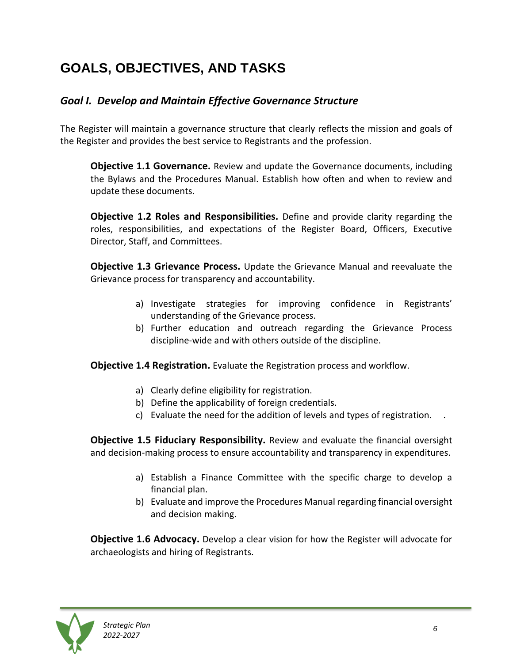## <span id="page-8-0"></span>**GOALS, OBJECTIVES, AND TASKS**

#### <span id="page-8-1"></span>*Goal I. Develop and Maintain Effective Governance Structure*

The Register will maintain a governance structure that clearly reflects the mission and goals of the Register and provides the best service to Registrants and the profession.

<span id="page-8-2"></span>**Objective 1.1 Governance.** Review and update the Governance documents, including the Bylaws and the Procedures Manual. Establish how often and when to review and update these documents.

**Objective 1.2 Roles and Responsibilities.** Define and provide clarity regarding the roles, responsibilities, and expectations of the Register Board, Officers, Executive Director, Staff, and Committees.

<span id="page-8-3"></span>**Objective 1.3 Grievance Process.** Update the Grievance Manual and reevaluate the Grievance process for transparency and accountability.

- a) Investigate strategies for improving confidence in Registrants' understanding of the Grievance process.
- b) Further education and outreach regarding the Grievance Process discipline-wide and with others outside of the discipline.

<span id="page-8-4"></span>**Objective 1.4 Registration.** Evaluate the Registration process and workflow.

- a) Clearly define eligibility for registration.
- b) Define the applicability of foreign credentials.
- c) Evaluate the need for the addition of levels and types of registration. .

<span id="page-8-5"></span>**Objective 1.5 Fiduciary Responsibility.** Review and evaluate the financial oversight and decision-making process to ensure accountability and transparency in expenditures.

- a) Establish a Finance Committee with the specific charge to develop a financial plan.
- b) Evaluate and improve the Procedures Manual regarding financial oversight and decision making.

<span id="page-8-6"></span>**Objective 1.6 Advocacy.** Develop a clear vision for how the Register will advocate for archaeologists and hiring of Registrants.

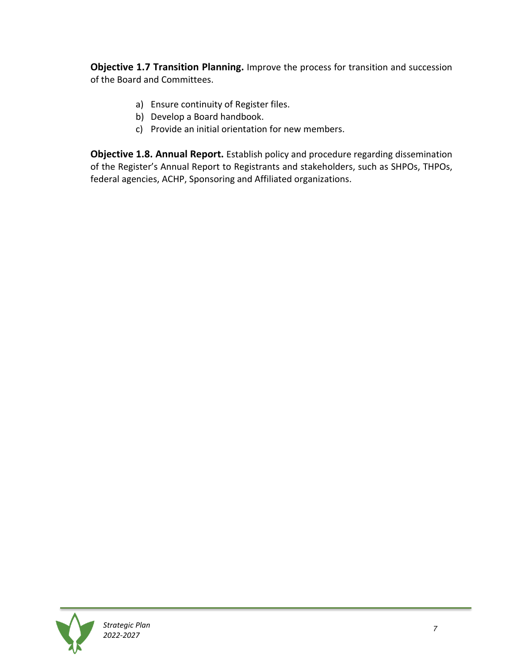<span id="page-9-0"></span>**Objective 1.7 Transition Planning.** Improve the process for transition and succession of the Board and Committees.

- a) Ensure continuity of Register files.
- b) Develop a Board handbook.
- c) Provide an initial orientation for new members.

<span id="page-9-1"></span>**Objective 1.8. Annual Report.** Establish policy and procedure regarding dissemination of the Register's Annual Report to Registrants and stakeholders, such as SHPOs, THPOs, federal agencies, ACHP, Sponsoring and Affiliated organizations.

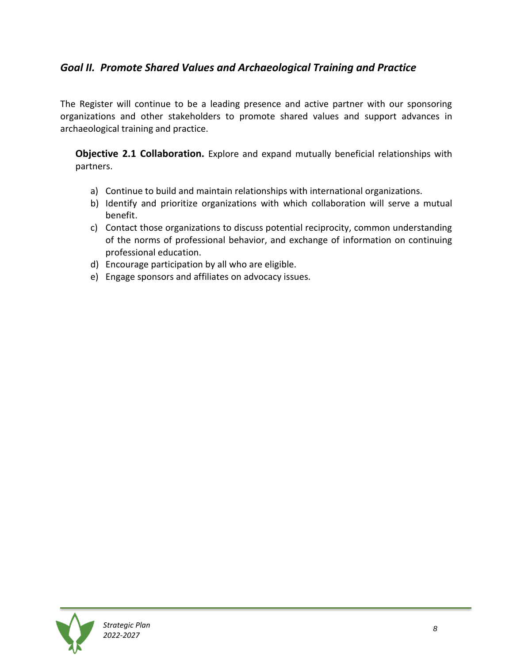#### <span id="page-10-0"></span>*Goal II. Promote Shared Values and Archaeological Training and Practice*

The Register will continue to be a leading presence and active partner with our sponsoring organizations and other stakeholders to promote shared values and support advances in archaeological training and practice.

<span id="page-10-1"></span>**Objective 2.1 Collaboration.** Explore and expand mutually beneficial relationships with partners.

- a) Continue to build and maintain relationships with international organizations.
- b) Identify and prioritize organizations with which collaboration will serve a mutual benefit.
- c) Contact those organizations to discuss potential reciprocity, common understanding of the norms of professional behavior, and exchange of information on continuing professional education.
- d) Encourage participation by all who are eligible.
- e) Engage sponsors and affiliates on advocacy issues.

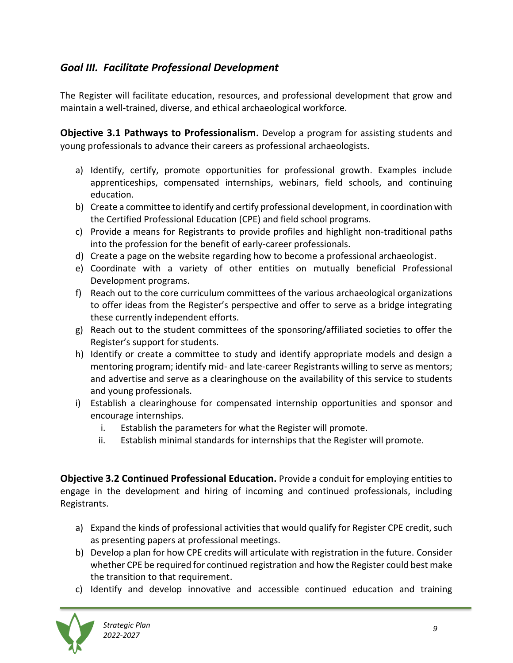#### <span id="page-11-0"></span>*Goal III. Facilitate Professional Development*

The Register will facilitate education, resources, and professional development that grow and maintain a well-trained, diverse, and ethical archaeological workforce.

<span id="page-11-1"></span>**Objective 3.1 Pathways to Professionalism.** Develop a program for assisting students and young professionals to advance their careers as professional archaeologists.

- a) Identify, certify, promote opportunities for professional growth. Examples include apprenticeships, compensated internships, webinars, field schools, and continuing education.
- b) Create a committee to identify and certify professional development, in coordination with the Certified Professional Education (CPE) and field school programs.
- c) Provide a means for Registrants to provide profiles and highlight non-traditional paths into the profession for the benefit of early-career professionals.
- d) Create a page on the website regarding how to become a professional archaeologist.
- e) Coordinate with a variety of other entities on mutually beneficial Professional Development programs.
- f) Reach out to the core curriculum committees of the various archaeological organizations to offer ideas from the Register's perspective and offer to serve as a bridge integrating these currently independent efforts.
- g) Reach out to the student committees of the sponsoring/affiliated societies to offer the Register's support for students.
- h) Identify or create a committee to study and identify appropriate models and design a mentoring program; identify mid- and late-career Registrants willing to serve as mentors; and advertise and serve as a clearinghouse on the availability of this service to students and young professionals.
- i) Establish a clearinghouse for compensated internship opportunities and sponsor and encourage internships.
	- i. Establish the parameters for what the Register will promote.
	- ii. Establish minimal standards for internships that the Register will promote.

<span id="page-11-2"></span>**Objective 3.2 Continued Professional Education.** Provide a conduit for employing entities to engage in the development and hiring of incoming and continued professionals, including Registrants.

- a) Expand the kinds of professional activities that would qualify for Register CPE credit, such as presenting papers at professional meetings.
- b) Develop a plan for how CPE credits will articulate with registration in the future. Consider whether CPE be required for continued registration and how the Register could best make the transition to that requirement.
- c) Identify and develop innovative and accessible continued education and training

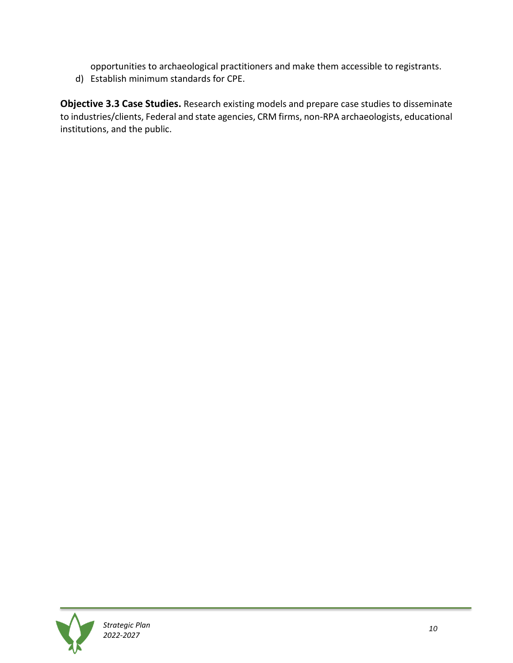opportunities to archaeological practitioners and make them accessible to registrants.

d) Establish minimum standards for CPE.

**Objective 3.3 Case Studies.** Research existing models and prepare case studies to disseminate to industries/clients, Federal and state agencies, CRM firms, non-RPA archaeologists, educational institutions, and the public.



*Strategic Plan 2022-2027*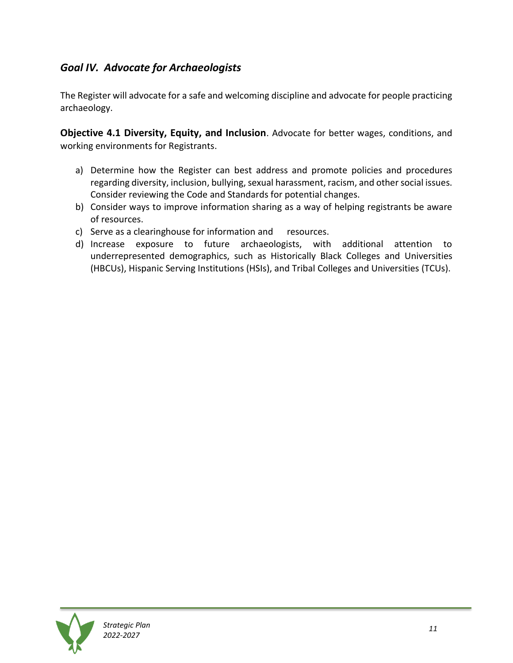#### <span id="page-13-0"></span>*Goal IV. Advocate for Archaeologists*

The Register will advocate for a safe and welcoming discipline and advocate for people practicing archaeology.

<span id="page-13-1"></span>**Objective 4.1 Diversity, Equity, and Inclusion**. Advocate for better wages, conditions, and working environments for Registrants.

- a) Determine how the Register can best address and promote policies and procedures regarding diversity, inclusion, bullying, sexual harassment, racism, and other social issues. Consider reviewing the Code and Standards for potential changes.
- b) Consider ways to improve information sharing as a way of helping registrants be aware of resources.
- c) Serve as a clearinghouse for information and resources.
- d) Increase exposure to future archaeologists, with additional attention to underrepresented demographics, such as Historically Black Colleges and Universities (HBCUs), Hispanic Serving Institutions (HSIs), and Tribal Colleges and Universities (TCUs).